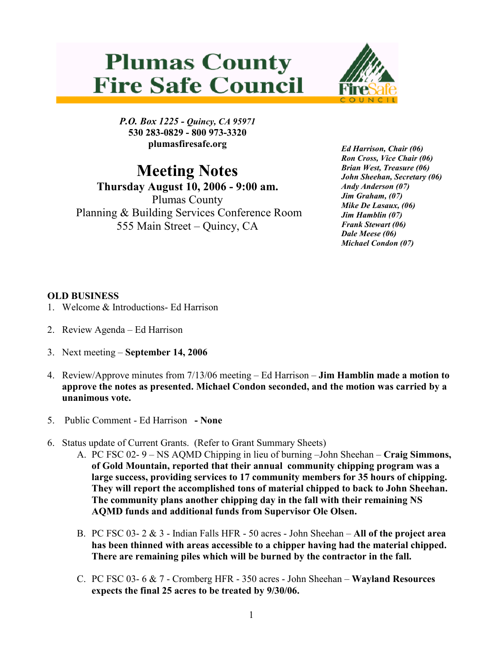## **Plumas County Fire Safe Council**



P.O. Box 1225 - Quincy, CA 95971 530 283-0829 - 800 973-3320 plumasfiresafe.org

## Meeting Notes

Thursday August 10, 2006 - 9:00 am. Plumas County Planning & Building Services Conference Room 555 Main Street – Quincy, CA

Ed Harrison, Chair (06) Ron Cross, Vice Chair (06) Brian West, Treasure (06) John Sheehan, Secretary (06) Andy Anderson (07) Jim Graham, (07) Mike De Lasaux, (06) Jim Hamblin (07) Frank Stewart (06) Dale Meese (06) Michael Condon (07)

## OLD BUSINESS

- 1. Welcome & Introductions- Ed Harrison
- 2. Review Agenda Ed Harrison
- 3. Next meeting September 14, 2006
- 4. Review/Approve minutes from 7/13/06 meeting Ed Harrison Jim Hamblin made a motion to approve the notes as presented. Michael Condon seconded, and the motion was carried by a unanimous vote.
- 5. Public Comment Ed Harrison None
- 6. Status update of Current Grants. (Refer to Grant Summary Sheets)
	- A. PC FSC 02- 9 NS AQMD Chipping in lieu of burning –John Sheehan Craig Simmons, of Gold Mountain, reported that their annual community chipping program was a large success, providing services to 17 community members for 35 hours of chipping. They will report the accomplished tons of material chipped to back to John Sheehan. The community plans another chipping day in the fall with their remaining NS AQMD funds and additional funds from Supervisor Ole Olsen.
	- B. PC FSC 03-  $2 \& 3$  Indian Falls HFR 50 acres John Sheehan All of the project area has been thinned with areas accessible to a chipper having had the material chipped. There are remaining piles which will be burned by the contractor in the fall.
	- C. PC FSC 03- 6 & 7 Cromberg HFR 350 acres John Sheehan Wayland Resources expects the final 25 acres to be treated by 9/30/06.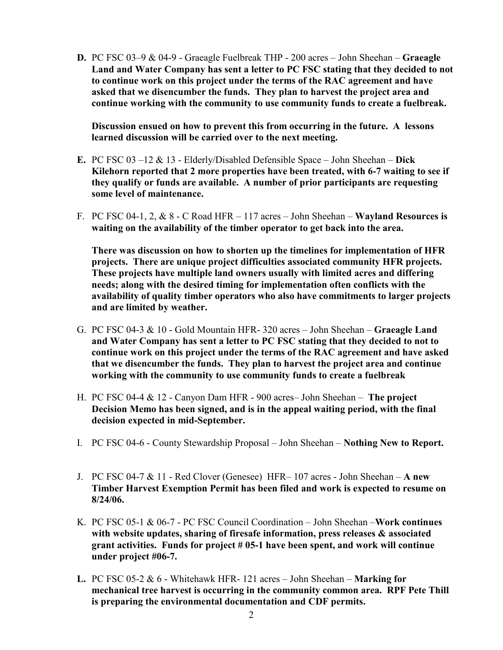D. PC FSC 03–9 & 04-9 - Graeagle Fuelbreak THP - 200 acres – John Sheehan – Graeagle Land and Water Company has sent a letter to PC FSC stating that they decided to not to continue work on this project under the terms of the RAC agreement and have asked that we disencumber the funds. They plan to harvest the project area and continue working with the community to use community funds to create a fuelbreak.

Discussion ensued on how to prevent this from occurring in the future. A lessons learned discussion will be carried over to the next meeting.

- E. PC FSC 03 –12  $& 13$  Elderly/Disabled Defensible Space John Sheehan Dick Kilehorn reported that 2 more properties have been treated, with 6-7 waiting to see if they qualify or funds are available. A number of prior participants are requesting some level of maintenance.
- F. PC FSC 04-1, 2,  $& 8$  C Road HFR 117 acres John Sheehan Wayland Resources is waiting on the availability of the timber operator to get back into the area.

There was discussion on how to shorten up the timelines for implementation of HFR projects. There are unique project difficulties associated community HFR projects. These projects have multiple land owners usually with limited acres and differing needs; along with the desired timing for implementation often conflicts with the availability of quality timber operators who also have commitments to larger projects and are limited by weather.

- G. PC FSC 04-3 & 10 Gold Mountain HFR- 320 acres John Sheehan Graeagle Land and Water Company has sent a letter to PC FSC stating that they decided to not to continue work on this project under the terms of the RAC agreement and have asked that we disencumber the funds. They plan to harvest the project area and continue working with the community to use community funds to create a fuelbreak
- H. PC FSC 04-4 & 12 Canyon Dam HFR 900 acres– John Sheehan The project Decision Memo has been signed, and is in the appeal waiting period, with the final decision expected in mid-September.
- I. PC FSC 04-6 County Stewardship Proposal John Sheehan Nothing New to Report.
- J. PC FSC 04-7 & 11 Red Clover (Genesee) HFR– 107 acres John Sheehan A new Timber Harvest Exemption Permit has been filed and work is expected to resume on 8/24/06.
- K. PC FSC 05-1  $\&$  06-7 PC FSC Council Coordination John Sheehan Work continues with website updates, sharing of firesafe information, press releases  $\&$  associated grant activities. Funds for project # 05-1 have been spent, and work will continue under project #06-7.
- L. PC FSC 05-2  $\&$  6 Whitehawk HFR- 121 acres John Sheehan Marking for mechanical tree harvest is occurring in the community common area. RPF Pete Thill is preparing the environmental documentation and CDF permits.